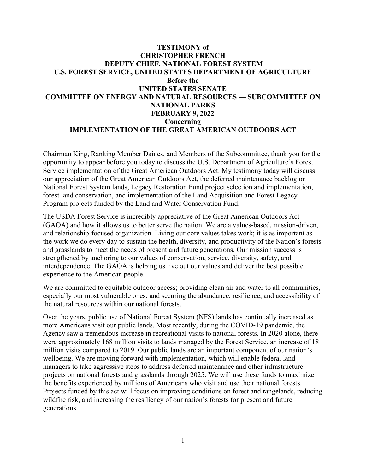# **TESTIMONY of CHRISTOPHER FRENCH DEPUTY CHIEF, NATIONAL FOREST SYSTEM U.S. FOREST SERVICE, UNITED STATES DEPARTMENT OF AGRICULTURE Before the UNITED STATES SENATE COMMITTEE ON ENERGY AND NATURAL RESOURCES — SUBCOMMITTEE ON NATIONAL PARKS FEBRUARY 9, 2022 Concerning IMPLEMENTATION OF THE GREAT AMERICAN OUTDOORS ACT**

Chairman King, Ranking Member Daines, and Members of the Subcommittee, thank you for the opportunity to appear before you today to discuss the U.S. Department of Agriculture's Forest Service implementation of the Great American Outdoors Act. My testimony today will discuss our appreciation of the Great American Outdoors Act, the deferred maintenance backlog on National Forest System lands, Legacy Restoration Fund project selection and implementation, forest land conservation, and implementation of the Land Acquisition and Forest Legacy Program projects funded by the Land and Water Conservation Fund.

The USDA Forest Service is incredibly appreciative of the Great American Outdoors Act (GAOA) and how it allows us to better serve the nation. We are a values-based, mission-driven, and relationship-focused organization. Living our core values takes work; it is as important as the work we do every day to sustain the health, diversity, and productivity of the Nation's forests and grasslands to meet the needs of present and future generations. Our mission success is strengthened by anchoring to our values of conservation, service, diversity, safety, and interdependence. The GAOA is helping us live out our values and deliver the best possible experience to the American people.

We are committed to equitable outdoor access; providing clean air and water to all communities, especially our most vulnerable ones; and securing the abundance, resilience, and accessibility of the natural resources within our national forests.

Over the years, public use of National Forest System (NFS) lands has continually increased as more Americans visit our public lands. Most recently, during the COVID-19 pandemic, the Agency saw a tremendous increase in recreational visits to national forests. In 2020 alone, there were approximately 168 million visits to lands managed by the Forest Service, an increase of 18 million visits compared to 2019. Our public lands are an important component of our nation's wellbeing. We are moving forward with implementation, which will enable federal land managers to take aggressive steps to address deferred maintenance and other infrastructure projects on national forests and grasslands through 2025. We will use these funds to maximize the benefits experienced by millions of Americans who visit and use their national forests. Projects funded by this act will focus on improving conditions on forest and rangelands, reducing wildfire risk, and increasing the resiliency of our nation's forests for present and future generations.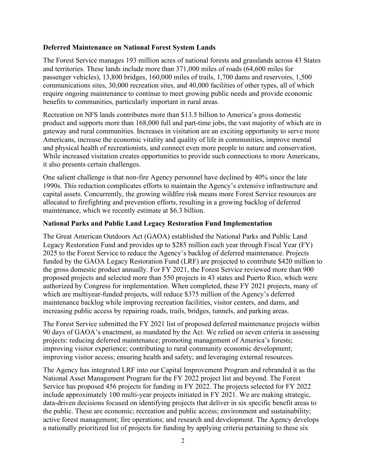#### **Deferred Maintenance on National Forest System Lands**

The Forest Service manages 193 million acres of national forests and grasslands across 43 States and territories. These lands include more than 371,000 miles of roads (64,600 miles for passenger vehicles), 13,800 bridges, 160,000 miles of trails, 1,700 dams and reservoirs, 1,500 communications sites, 30,000 recreation sites, and 40,000 facilities of other types, all of which require ongoing maintenance to continue to meet growing public needs and provide economic benefits to communities, particularly important in rural areas.

Recreation on NFS lands contributes more than \$13.5 billion to America's gross domestic product and supports more than 168,000 full and part-time jobs, the vast majority of which are in gateway and rural communities. Increases in visitation are an exciting opportunity to serve more Americans, increase the economic vitality and quality of life in communities, improve mental and physical health of recreationists, and connect even more people to nature and conservation. While increased visitation creates opportunities to provide such connections to more Americans, it also presents certain challenges.

One salient challenge is that non-fire Agency personnel have declined by 40% since the late 1990s. This reduction complicates efforts to maintain the Agency's extensive infrastructure and capital assets. Concurrently, the growing wildfire risk means more Forest Service resources are allocated to firefighting and prevention efforts, resulting in a growing backlog of deferred maintenance, which we recently estimate at \$6.3 billion.

### **National Parks and Public Land Legacy Restoration Fund Implementation**

The Great American Outdoors Act (GAOA) established the National Parks and Public Land Legacy Restoration Fund and provides up to \$285 million each year through Fiscal Year (FY) 2025 to the Forest Service to reduce the Agency's backlog of deferred maintenance. Projects funded by the GAOA Legacy Restoration Fund (LRF) are projected to contribute \$420 million to the gross domestic product annually. For FY 2021, the Forest Service reviewed more than 900 proposed projects and selected more than 550 projects in 43 states and Puerto Rico, which were authorized by Congress for implementation. When completed, these FY 2021 projects, many of which are multiyear-funded projects, will reduce \$375 million of the Agency's deferred maintenance backlog while improving recreation facilities, visitor centers, and dams, and increasing public access by repairing roads, trails, bridges, tunnels, and parking areas.

The Forest Service submitted the FY 2021 list of proposed deferred maintenance projects within 90 days of GAOA's enactment, as mandated by the Act. We relied on seven criteria in assessing projects: reducing deferred maintenance; promoting management of America's forests; improving visitor experience; contributing to rural community economic development; improving visitor access; ensuring health and safety; and leveraging external resources.

The Agency has integrated LRF into our Capital Improvement Program and rebranded it as the National Asset Management Program for the FY 2022 project list and beyond. The Forest Service has proposed 456 projects for funding in FY 2022. The projects selected for FY 2022 include approximately 100 multi-year projects initiated in FY 2021. We are making strategic, data-driven decisions focused on identifying projects that deliver in six specific benefit areas to the public. These are economic; recreation and public access; environment and sustainability; active forest management; fire operations; and research and development. The Agency develops a nationally prioritized list of projects for funding by applying criteria pertaining to these six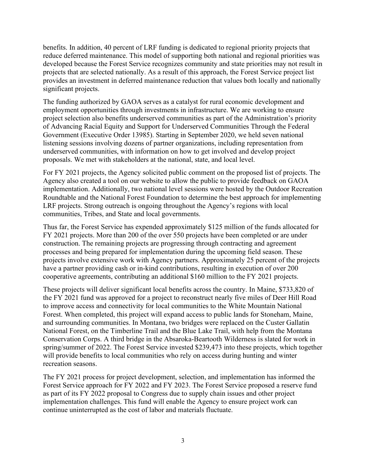benefits. In addition, 40 percent of LRF funding is dedicated to regional priority projects that reduce deferred maintenance. This model of supporting both national and regional priorities was developed because the Forest Service recognizes community and state priorities may not result in projects that are selected nationally. As a result of this approach, the Forest Service project list provides an investment in deferred maintenance reduction that values both locally and nationally significant projects.

The funding authorized by GAOA serves as a catalyst for rural economic development and employment opportunities through investments in infrastructure. We are working to ensure project selection also benefits underserved communities as part of the Administration's priority of Advancing Racial Equity and Support for Underserved Communities Through the Federal Government (Executive Order 13985). Starting in September 2020, we held seven national listening sessions involving dozens of partner organizations, including representation from underserved communities, with information on how to get involved and develop project proposals. We met with stakeholders at the national, state, and local level.

For FY 2021 projects, the Agency solicited public comment on the proposed list of projects. The Agency also created a tool on our website to allow the public to provide feedback on GAOA implementation. Additionally, two national level sessions were hosted by the Outdoor Recreation Roundtable and the National Forest Foundation to determine the best approach for implementing LRF projects. Strong outreach is ongoing throughout the Agency's regions with local communities, Tribes, and State and local governments.

Thus far, the Forest Service has expended approximately \$125 million of the funds allocated for FY 2021 projects. More than 200 of the over 550 projects have been completed or are under construction. The remaining projects are progressing through contracting and agreement processes and being prepared for implementation during the upcoming field season. These projects involve extensive work with Agency partners. Approximately 25 percent of the projects have a partner providing cash or in-kind contributions, resulting in execution of over 200 cooperative agreements, contributing an additional \$160 million to the FY 2021 projects.

These projects will deliver significant local benefits across the country. In Maine, \$733,820 of the FY 2021 fund was approved for a project to reconstruct nearly five miles of Deer Hill Road to improve access and connectivity for local communities to the White Mountain National Forest. When completed, this project will expand access to public lands for Stoneham, Maine, and surrounding communities. In Montana, two bridges were replaced on the Custer Gallatin National Forest, on the Timberline Trail and the Blue Lake Trail, with help from the Montana Conservation Corps. A third bridge in the Absaroka-Beartooth Wilderness is slated for work in spring/summer of 2022. The Forest Service invested \$239,473 into these projects, which together will provide benefits to local communities who rely on access during hunting and winter recreation seasons.

The FY 2021 process for project development, selection, and implementation has informed the Forest Service approach for FY 2022 and FY 2023. The Forest Service proposed a reserve fund as part of its FY 2022 proposal to Congress due to supply chain issues and other project implementation challenges. This fund will enable the Agency to ensure project work can continue uninterrupted as the cost of labor and materials fluctuate.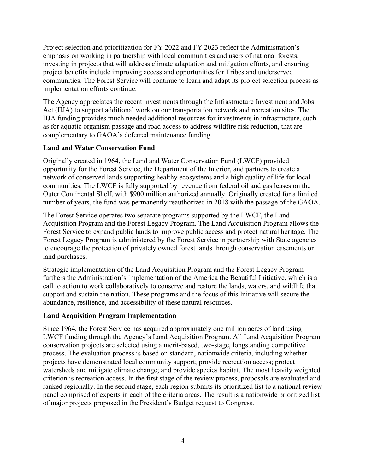Project selection and prioritization for FY 2022 and FY 2023 reflect the Administration's emphasis on working in partnership with local communities and users of national forests, investing in projects that will address climate adaptation and mitigation efforts, and ensuring project benefits include improving access and opportunities for Tribes and underserved communities. The Forest Service will continue to learn and adapt its project selection process as implementation efforts continue.

The Agency appreciates the recent investments through the Infrastructure Investment and Jobs Act (IIJA) to support additional work on our transportation network and recreation sites. The IIJA funding provides much needed additional resources for investments in infrastructure, such as for aquatic organism passage and road access to address wildfire risk reduction, that are complementary to GAOA's deferred maintenance funding.

## **Land and Water Conservation Fund**

Originally created in 1964, the Land and Water Conservation Fund (LWCF) provided opportunity for the Forest Service, the Department of the Interior, and partners to create a network of conserved lands supporting healthy ecosystems and a high quality of life for local communities. The LWCF is fully supported by revenue from federal oil and gas leases on the Outer Continental Shelf, with \$900 million authorized annually. Originally created for a limited number of years, the fund was permanently reauthorized in 2018 with the passage of the GAOA.

The Forest Service operates two separate programs supported by the LWCF, the Land Acquisition Program and the Forest Legacy Program. The Land Acquisition Program allows the Forest Service to expand public lands to improve public access and protect natural heritage. The Forest Legacy Program is administered by the Forest Service in partnership with State agencies to encourage the protection of privately owned forest lands through conservation easements or land purchases.

Strategic implementation of the Land Acquisition Program and the Forest Legacy Program furthers the Administration's implementation of the America the Beautiful Initiative, which is a call to action to work collaboratively to conserve and restore the lands, waters, and wildlife that support and sustain the nation. These programs and the focus of this Initiative will secure the abundance, resilience, and accessibility of these natural resources.

#### **Land Acquisition Program Implementation**

Since 1964, the Forest Service has acquired approximately one million acres of land using LWCF funding through the Agency's Land Acquisition Program. All Land Acquisition Program conservation projects are selected using a merit-based, two-stage, longstanding competitive process. The evaluation process is based on standard, nationwide criteria, including whether projects have demonstrated local community support; provide recreation access; protect watersheds and mitigate climate change; and provide species habitat. The most heavily weighted criterion is recreation access. In the first stage of the review process, proposals are evaluated and ranked regionally. In the second stage, each region submits its prioritized list to a national review panel comprised of experts in each of the criteria areas. The result is a nationwide prioritized list of major projects proposed in the President's Budget request to Congress.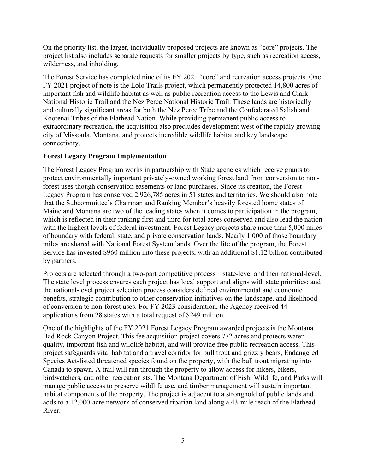On the priority list, the larger, individually proposed projects are known as "core" projects. The project list also includes separate requests for smaller projects by type, such as recreation access, wilderness, and inholding.

The Forest Service has completed nine of its FY 2021 "core" and recreation access projects. One FY 2021 project of note is the Lolo Trails project, which permanently protected 14,800 acres of important fish and wildlife habitat as well as public recreation access to the Lewis and Clark National Historic Trail and the Nez Perce National Historic Trail. These lands are historically and culturally significant areas for both the Nez Perce Tribe and the Confederated Salish and Kootenai Tribes of the Flathead Nation. While providing permanent public access to extraordinary recreation, the acquisition also precludes development west of the rapidly growing city of Missoula, Montana, and protects incredible wildlife habitat and key landscape connectivity.

## **Forest Legacy Program Implementation**

The Forest Legacy Program works in partnership with State agencies which receive grants to protect environmentally important privately-owned working forest land from conversion to nonforest uses though conservation easements or land purchases. Since its creation, the Forest Legacy Program has conserved 2,926,785 acres in 51 states and territories. We should also note that the Subcommittee's Chairman and Ranking Member's heavily forested home states of Maine and Montana are two of the leading states when it comes to participation in the program, which is reflected in their ranking first and third for total acres conserved and also lead the nation with the highest levels of federal investment. Forest Legacy projects share more than 5,000 miles of boundary with federal, state, and private conservation lands. Nearly 1,000 of those boundary miles are shared with National Forest System lands. Over the life of the program, the Forest Service has invested \$960 million into these projects, with an additional \$1.12 billion contributed by partners.

Projects are selected through a two-part competitive process – state-level and then national-level. The state level process ensures each project has local support and aligns with state priorities; and the national-level project selection process considers defined environmental and economic benefits, strategic contribution to other conservation initiatives on the landscape, and likelihood of conversion to non-forest uses. For FY 2023 consideration, the Agency received 44 applications from 28 states with a total request of \$249 million.

One of the highlights of the FY 2021 Forest Legacy Program awarded projects is the Montana Bad Rock Canyon Project. This fee acquisition project covers 772 acres and protects water quality, important fish and wildlife habitat, and will provide free public recreation access. This project safeguards vital habitat and a travel corridor for bull trout and grizzly bears, Endangered Species Act-listed threatened species found on the property, with the bull trout migrating into Canada to spawn. A trail will run through the property to allow access for hikers, bikers, birdwatchers, and other recreationists. The Montana Department of Fish, Wildlife, and Parks will manage public access to preserve wildlife use, and timber management will sustain important habitat components of the property. The project is adjacent to a stronghold of public lands and adds to a 12,000-acre network of conserved riparian land along a 43-mile reach of the Flathead River.